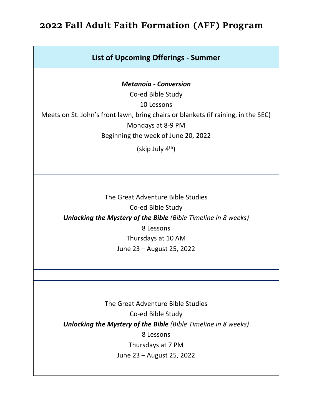## **2022 Fall Adult Faith Formation (AFF) Program**

## **List of Upcoming Offerings - Summer**

*Metanoia - Conversion*

Co-ed Bible Study 10 Lessons Meets on St. John's front lawn, bring chairs or blankets (if raining, in the SEC) Mondays at 8-9 PM Beginning the week of June 20, 2022

(skip July 4th)

The Great Adventure Bible Studies Co-ed Bible Study *Unlocking the Mystery of the Bible (Bible Timeline in 8 weeks)* 8 Lessons Thursdays at 10 AM June 23 – August 25, 2022

The Great Adventure Bible Studies Co-ed Bible Study *Unlocking the Mystery of the Bible (Bible Timeline in 8 weeks)* 8 Lessons Thursdays at 7 PM June 23 – August 25, 2022